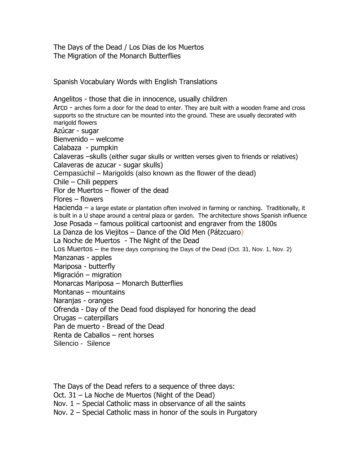The Days of the Dead / Los Dias de los Muertos The Migration of the Monarch Butterflies

Spanish Vocabulary Words with English Translations

Angelitos - those that die in innocence, usually children Arco - arches form a door for the dead to enter. They are built with a wooden frame and cross supports so the structure can be mounted into the ground. These are usually decorated with marigold flowers Azúcar - sugar Bienvenido – welcome Calabaza - pumpkin Calaveras –skulls (either sugar skulls or written verses given to friends or relatives) Calaveras de azucar - sugar skulls) Cempasúchil – Marigolds (also known as the flower of the dead) Chile – Chili peppers Flor de Muertos – flower of the dead Flores – flowers Hacienda – a large estate or plantation often involved in farming or ranching. Traditionally, it is built in a U shape around a central plaza or garden. The architecture shows Spanish influence Jose Posada – famous political cartoonist and engraver from the 1800s La Danza de los Viejitos – Dance of the Old Men (Pátzcuaro) La Noche de Muertos - The Night of the Dead Los Muertos – the three days comprising the Days of the Dead (Oct. 31, Nov. 1, Nov. 2) Manzanas - apples Mariposa - butterfly Migración – migration Monarcas Mariposa – Monarch Butterflies Montanas – mountains Naranjas - oranges Ofrenda - Day of the Dead food displayed for honoring the dead Orugas – caterpillars Pan de muerto - Bread of the Dead Renta de Caballos – rent horses Silencio - Silence

The Days of the Dead refers to a sequence of three days:

Oct. 31 – La Noche de Muertos (Night of the Dead)

Nov. 1 – Special Catholic mass in observance of all the saints

Nov. 2 – Special Catholic mass in honor of the souls in Purgatory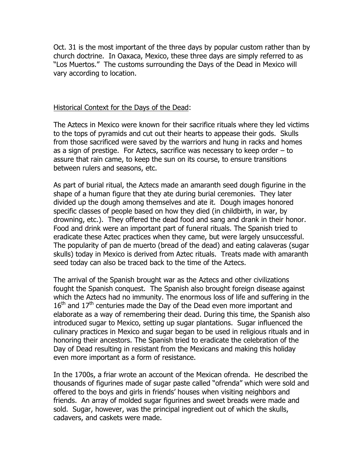Oct. 31 is the most important of the three days by popular custom rather than by church doctrine. In Oaxaca, Mexico, these three days are simply referred to as "Los Muertos." The customs surrounding the Days of the Dead in Mexico will vary according to location.

### Historical Context for the Days of the Dead:

The Aztecs in Mexico were known for their sacrifice rituals where they led victims to the tops of pyramids and cut out their hearts to appease their gods. Skulls from those sacrificed were saved by the warriors and hung in racks and homes as a sign of prestige. For Aztecs, sacrifice was necessary to keep order – to assure that rain came, to keep the sun on its course, to ensure transitions between rulers and seasons, etc.

As part of burial ritual, the Aztecs made an amaranth seed dough figurine in the shape of a human figure that they ate during burial ceremonies. They later divided up the dough among themselves and ate it. Dough images honored specific classes of people based on how they died (in childbirth, in war, by drowning, etc.). They offered the dead food and sang and drank in their honor. Food and drink were an important part of funeral rituals. The Spanish tried to eradicate these Aztec practices when they came, but were largely unsuccessful. The popularity of pan de muerto (bread of the dead) and eating calaveras (sugar skulls) today in Mexico is derived from Aztec rituals. Treats made with amaranth seed today can also be traced back to the time of the Aztecs.

The arrival of the Spanish brought war as the Aztecs and other civilizations fought the Spanish conquest. The Spanish also brought foreign disease against which the Aztecs had no immunity. The enormous loss of life and suffering in the  $16<sup>th</sup>$  and  $17<sup>th</sup>$  centuries made the Day of the Dead even more important and elaborate as a way of remembering their dead. During this time, the Spanish also introduced sugar to Mexico, setting up sugar plantations. Sugar influenced the culinary practices in Mexico and sugar began to be used in religious rituals and in honoring their ancestors. The Spanish tried to eradicate the celebration of the Day of Dead resulting in resistant from the Mexicans and making this holiday even more important as a form of resistance.

In the 1700s, a friar wrote an account of the Mexican ofrenda. He described the thousands of figurines made of sugar paste called "ofrenda" which were sold and offered to the boys and girls in friends' houses when visiting neighbors and friends. An array of molded sugar figurines and sweet breads were made and sold. Sugar, however, was the principal ingredient out of which the skulls, cadavers, and caskets were made.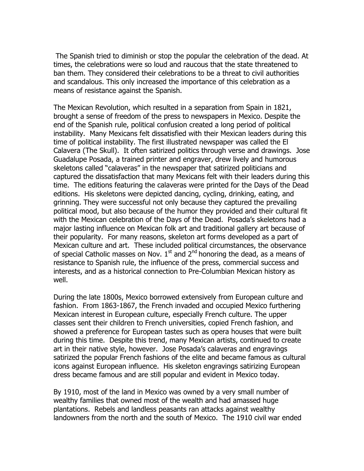The Spanish tried to diminish or stop the popular the celebration of the dead. At times, the celebrations were so loud and raucous that the state threatened to ban them. They considered their celebrations to be a threat to civil authorities and scandalous. This only increased the importance of this celebration as a means of resistance against the Spanish.

The Mexican Revolution, which resulted in a separation from Spain in 1821, brought a sense of freedom of the press to newspapers in Mexico. Despite the end of the Spanish rule, political confusion created a long period of political instability. Many Mexicans felt dissatisfied with their Mexican leaders during this time of political instability. The first illustrated newspaper was called the El Calavera (The Skull). It often satirized politics through verse and drawings. Jose Guadalupe Posada, a trained printer and engraver, drew lively and humorous skeletons called "calaveras" in the newspaper that satirized politicians and captured the dissatisfaction that many Mexicans felt with their leaders during this time. The editions featuring the calaveras were printed for the Days of the Dead editions. His skeletons were depicted dancing, cycling, drinking, eating, and grinning. They were successful not only because they captured the prevailing political mood, but also because of the humor they provided and their cultural fit with the Mexican celebration of the Days of the Dead. Posada's skeletons had a major lasting influence on Mexican folk art and traditional gallery art because of their popularity. For many reasons, skeleton art forms developed as a part of Mexican culture and art. These included political circumstances, the observance of special Catholic masses on Nov.  $1<sup>st</sup>$  and  $2<sup>nd</sup>$  honoring the dead, as a means of resistance to Spanish rule, the influence of the press, commercial success and interests, and as a historical connection to Pre-Columbian Mexican history as well.

During the late 1800s, Mexico borrowed extensively from European culture and fashion. From 1863-1867, the French invaded and occupied Mexico furthering Mexican interest in European culture, especially French culture. The upper classes sent their children to French universities, copied French fashion, and showed a preference for European tastes such as opera houses that were built during this time. Despite this trend, many Mexican artists, continued to create art in their native style, however. Jose Posada's calaveras and engravings satirized the popular French fashions of the elite and became famous as cultural icons against European influence. His skeleton engravings satirizing European dress became famous and are still popular and evident in Mexico today.

By 1910, most of the land in Mexico was owned by a very small number of wealthy families that owned most of the wealth and had amassed huge plantations. Rebels and landless peasants ran attacks against wealthy landowners from the north and the south of Mexico. The 1910 civil war ended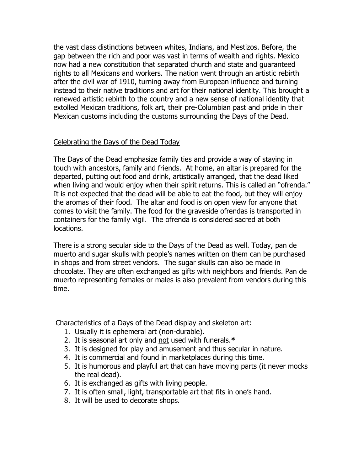the vast class distinctions between whites, Indians, and Mestizos. Before, the gap between the rich and poor was vast in terms of wealth and rights. Mexico now had a new constitution that separated church and state and guaranteed rights to all Mexicans and workers. The nation went through an artistic rebirth after the civil war of 1910, turning away from European influence and turning instead to their native traditions and art for their national identity. This brought a renewed artistic rebirth to the country and a new sense of national identity that extolled Mexican traditions, folk art, their pre-Columbian past and pride in their Mexican customs including the customs surrounding the Days of the Dead.

## Celebrating the Days of the Dead Today

The Days of the Dead emphasize family ties and provide a way of staying in touch with ancestors, family and friends. At home, an altar is prepared for the departed, putting out food and drink, artistically arranged, that the dead liked when living and would enjoy when their spirit returns. This is called an "ofrenda." It is not expected that the dead will be able to eat the food, but they will enjoy the aromas of their food. The altar and food is on open view for anyone that comes to visit the family. The food for the graveside ofrendas is transported in containers for the family vigil. The ofrenda is considered sacred at both locations.

There is a strong secular side to the Days of the Dead as well. Today, pan de muerto and sugar skulls with people's names written on them can be purchased in shops and from street vendors. The sugar skulls can also be made in chocolate. They are often exchanged as gifts with neighbors and friends. Pan de muerto representing females or males is also prevalent from vendors during this time.

Characteristics of a Days of the Dead display and skeleton art:

- 1. Usually it is ephemeral art (non-durable).
- 2. It is seasonal art only and not used with funerals.**\***
- 3. It is designed for play and amusement and thus secular in nature.
- 4. It is commercial and found in marketplaces during this time.
- 5. It is humorous and playful art that can have moving parts (it never mocks the real dead).
- 6. It is exchanged as gifts with living people.
- 7. It is often small, light, transportable art that fits in one's hand.
- 8. It will be used to decorate shops.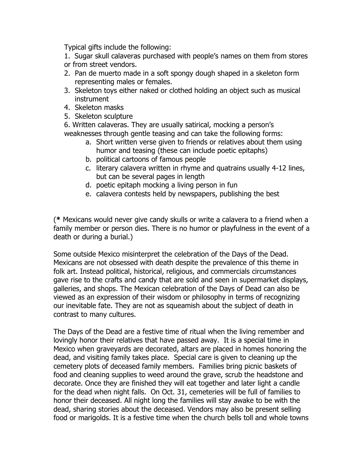Typical gifts include the following:

1. Sugar skull calaveras purchased with people's names on them from stores or from street vendors.

- 2. Pan de muerto made in a soft spongy dough shaped in a skeleton form representing males or females.
- 3. Skeleton toys either naked or clothed holding an object such as musical instrument
- 4. Skeleton masks
- 5. Skeleton sculpture

6. Written calaveras. They are usually satirical, mocking a person's weaknesses through gentle teasing and can take the following forms:

- a. Short written verse given to friends or relatives about them using humor and teasing (these can include poetic epitaphs)
- b. political cartoons of famous people
- c. literary calavera written in rhyme and quatrains usually 4-12 lines, but can be several pages in length
- d. poetic epitaph mocking a living person in fun
- e. calavera contests held by newspapers, publishing the best

(**\*** Mexicans would never give candy skulls or write a calavera to a friend when a family member or person dies. There is no humor or playfulness in the event of a death or during a burial.)

Some outside Mexico misinterpret the celebration of the Days of the Dead. Mexicans are not obsessed with death despite the prevalence of this theme in folk art. Instead political, historical, religious, and commercials circumstances gave rise to the crafts and candy that are sold and seen in supermarket displays, galleries, and shops. The Mexican celebration of the Days of Dead can also be viewed as an expression of their wisdom or philosophy in terms of recognizing our inevitable fate. They are not as squeamish about the subject of death in contrast to many cultures.

The Days of the Dead are a festive time of ritual when the living remember and lovingly honor their relatives that have passed away. It is a special time in Mexico when graveyards are decorated, altars are placed in homes honoring the dead, and visiting family takes place. Special care is given to cleaning up the cemetery plots of deceased family members. Families bring picnic baskets of food and cleaning supplies to weed around the grave, scrub the headstone and decorate. Once they are finished they will eat together and later light a candle for the dead when night falls. On Oct. 31, cemeteries will be full of families to honor their deceased. All night long the families will stay awake to be with the dead, sharing stories about the deceased. Vendors may also be present selling food or marigolds. It is a festive time when the church bells toll and whole towns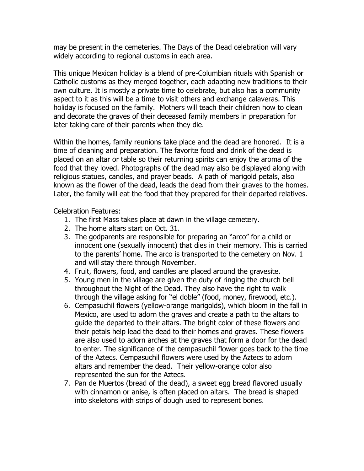may be present in the cemeteries. The Days of the Dead celebration will vary widely according to regional customs in each area.

This unique Mexican holiday is a blend of pre-Columbian rituals with Spanish or Catholic customs as they merged together, each adapting new traditions to their own culture. It is mostly a private time to celebrate, but also has a community aspect to it as this will be a time to visit others and exchange calaveras. This holiday is focused on the family. Mothers will teach their children how to clean and decorate the graves of their deceased family members in preparation for later taking care of their parents when they die.

Within the homes, family reunions take place and the dead are honored. It is a time of cleaning and preparation. The favorite food and drink of the dead is placed on an altar or table so their returning spirits can enjoy the aroma of the food that they loved. Photographs of the dead may also be displayed along with religious statues, candles, and prayer beads. A path of marigold petals, also known as the flower of the dead, leads the dead from their graves to the homes. Later, the family will eat the food that they prepared for their departed relatives.

Celebration Features:

- 1. The first Mass takes place at dawn in the village cemetery.
- 2. The home altars start on Oct. 31.
- 3. The godparents are responsible for preparing an "arco" for a child or innocent one (sexually innocent) that dies in their memory. This is carried to the parents' home. The arco is transported to the cemetery on Nov. 1 and will stay there through November.
- 4. Fruit, flowers, food, and candles are placed around the gravesite.
- 5. Young men in the village are given the duty of ringing the church bell throughout the Night of the Dead. They also have the right to walk through the village asking for "el doble" (food, money, firewood, etc.).
- 6. Cempasuchil flowers (yellow-orange marigolds), which bloom in the fall in Mexico, are used to adorn the graves and create a path to the altars to guide the departed to their altars. The bright color of these flowers and their petals help lead the dead to their homes and graves. These flowers are also used to adorn arches at the graves that form a door for the dead to enter. The significance of the cempasuchil flower goes back to the time of the Aztecs. Cempasuchil flowers were used by the Aztecs to adorn altars and remember the dead. Their yellow-orange color also represented the sun for the Aztecs.
- 7. Pan de Muertos (bread of the dead), a sweet egg bread flavored usually with cinnamon or anise, is often placed on altars. The bread is shaped into skeletons with strips of dough used to represent bones.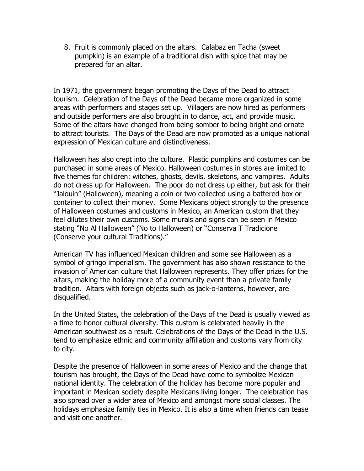8. Fruit is commonly placed on the altars. Calabaz en Tacha (sweet pumpkin) is an example of a traditional dish with spice that may be prepared for an altar.

In 1971, the government began promoting the Days of the Dead to attract tourism. Celebration of the Days of the Dead became more organized in some areas with performers and stages set up. Villagers are now hired as performers and outside performers are also brought in to dance, act, and provide music. Some of the altars have changed from being somber to being bright and ornate to attract tourists. The Days of the Dead are now promoted as a unique national expression of Mexican culture and distinctiveness.

Halloween has also crept into the culture. Plastic pumpkins and costumes can be purchased in some areas of Mexico. Halloween costumes in stores are limited to five themes for children: witches, ghosts, devils, skeletons, and vampires. Adults do not dress up for Halloween. The poor do not dress up either, but ask for their "Jalouin" (Halloween), meaning a coin or two collected using a battered box or container to collect their money. Some Mexicans object strongly to the presence of Halloween costumes and customs in Mexico, an American custom that they feel dilutes their own customs. Some murals and signs can be seen in Mexico stating "No Al Halloween" (No to Halloween) or "Conserva T Tradicione (Conserve your cultural Traditions)."

American TV has influenced Mexican children and some see Halloween as a symbol of gringo imperialism. The government has also shown resistance to the invasion of American culture that Halloween represents. They offer prizes for the altars, making the holiday more of a community event than a private family tradition. Altars with foreign objects such as jack-o-lanterns, however, are disqualified.

In the United States, the celebration of the Days of the Dead is usually viewed as a time to honor cultural diversity. This custom is celebrated heavily in the American southwest as a result. Celebrations of the Days of the Dead in the U.S. tend to emphasize ethnic and community affiliation and customs vary from city to city.

Despite the presence of Halloween in some areas of Mexico and the change that tourism has brought, the Days of the Dead have come to symbolize Mexican national identity. The celebration of the holiday has become more popular and important in Mexican society despite Mexicans living longer. The celebration has also spread over a wider area of Mexico and amongst more social classes. The holidays emphasize family ties in Mexico. It is also a time when friends can tease and visit one another.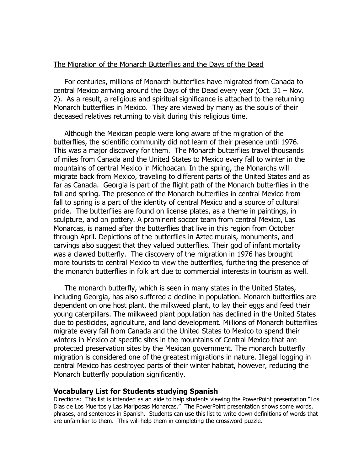#### The Migration of the Monarch Butterflies and the Days of the Dead

 For centuries, millions of Monarch butterflies have migrated from Canada to central Mexico arriving around the Days of the Dead every year (Oct. 31 – Nov. 2). As a result, a religious and spiritual significance is attached to the returning Monarch butterflies in Mexico. They are viewed by many as the souls of their deceased relatives returning to visit during this religious time.

 Although the Mexican people were long aware of the migration of the butterflies, the scientific community did not learn of their presence until 1976. This was a major discovery for them. The Monarch butterflies travel thousands of miles from Canada and the United States to Mexico every fall to winter in the mountains of central Mexico in Michoacan. In the spring, the Monarchs will migrate back from Mexico, traveling to different parts of the United States and as far as Canada. Georgia is part of the flight path of the Monarch butterflies in the fall and spring. The presence of the Monarch butterflies in central Mexico from fall to spring is a part of the identity of central Mexico and a source of cultural pride. The butterflies are found on license plates, as a theme in paintings, in sculpture, and on pottery. A prominent soccer team from central Mexico, Las Monarcas, is named after the butterflies that live in this region from October through April. Depictions of the butterflies in Aztec murals, monuments, and carvings also suggest that they valued butterflies. Their god of infant mortality was a clawed butterfly. The discovery of the migration in 1976 has brought more tourists to central Mexico to view the butterflies, furthering the presence of the monarch butterflies in folk art due to commercial interests in tourism as well.

 The monarch butterfly, which is seen in many states in the United States, including Georgia, has also suffered a decline in population. Monarch butterflies are dependent on one host plant, the milkweed plant, to lay their eggs and feed their young caterpillars. The milkweed plant population has declined in the United States due to pesticides, agriculture, and land development. Millions of Monarch butterflies migrate every fall from Canada and the United States to Mexico to spend their winters in Mexico at specific sites in the mountains of Central Mexico that are protected preservation sites by the Mexican government. The monarch butterfly migration is considered one of the greatest migrations in nature. Illegal logging in central Mexico has destroyed parts of their winter habitat, however, reducing the Monarch butterfly population significantly.

#### **Vocabulary List for Students studying Spanish**

Directions: This list is intended as an aide to help students viewing the PowerPoint presentation "Los Dias de Los Muertos y Las Mariposas Monarcas." The PowerPoint presentation shows some words, phrases, and sentences in Spanish. Students can use this list to write down definitions of words that are unfamiliar to them. This will help them in completing the crossword puzzle.